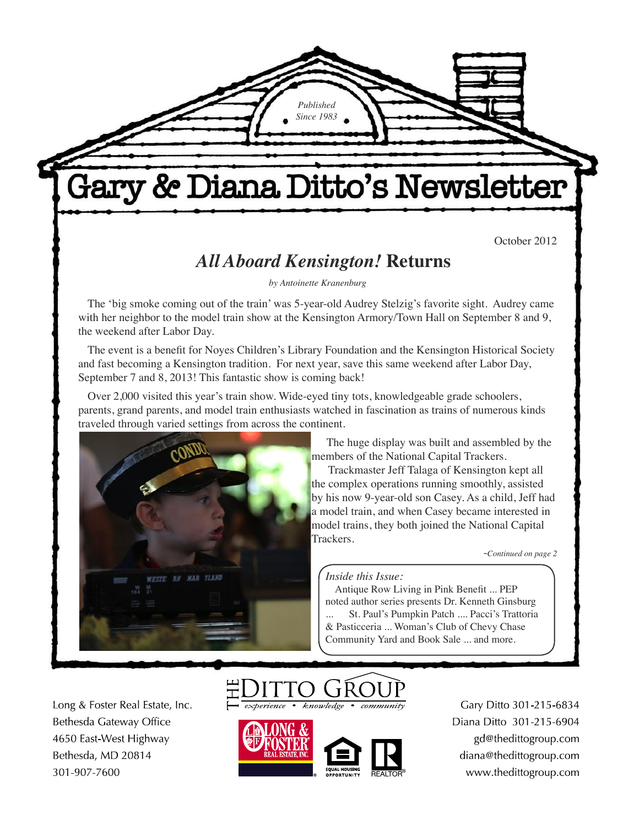# Gary & Diana Ditto's Newsletter

*Published Since 1983*

October 2012

## *All Aboard Kensington!* **Returns**

*by Antoinette Kranenburg*

The 'big smoke coming out of the train' was 5-year-old Audrey Stelzig's favorite sight. Audrey came with her neighbor to the model train show at the Kensington Armory/Town Hall on September 8 and 9, the weekend after Labor Day.

The event is a benefit for Noyes Children's Library Foundation and the Kensington Historical Society and fast becoming a Kensington tradition. For next year, save this same weekend after Labor Day, September 7 and 8, 2013! This fantastic show is coming back!

Over 2,000 visited this year's train show. Wide-eyed tiny tots, knowledgeable grade schoolers, parents, grand parents, and model train enthusiasts watched in fascination as trains of numerous kinds traveled through varied settings from across the continent.



 The huge display was built and assembled by the members of the National Capital Trackers.

Trackmaster Jeff Talaga of Kensington kept all the complex operations running smoothly, assisted by his now 9-year-old son Casey. As a child, Jeff had a model train, and when Casey became interested in model trains, they both joined the National Capital Trackers.

-*Continued on page 2*

#### *Inside this Issue:*

Antique Row Living in Pink Benefit ... PEP noted author series presents Dr. Kenneth Ginsburg St. Paul's Pumpkin Patch .... Pacci's Trattoria & Pasticceria ... Woman's Club of Chevy Chase Community Yard and Book Sale ... and more.

Long & Foster Real Estate, Inc. Bethesda Gateway Office 4650 East-West Highway Bethesda, MD 20814 301-907-7600



 $k$ nowledge



Gary Ditto 301-215-6834 Diana Ditto 301-215-6904 gd@thedittogroup.com diana@thedittogroup.com www.thedittogroup.com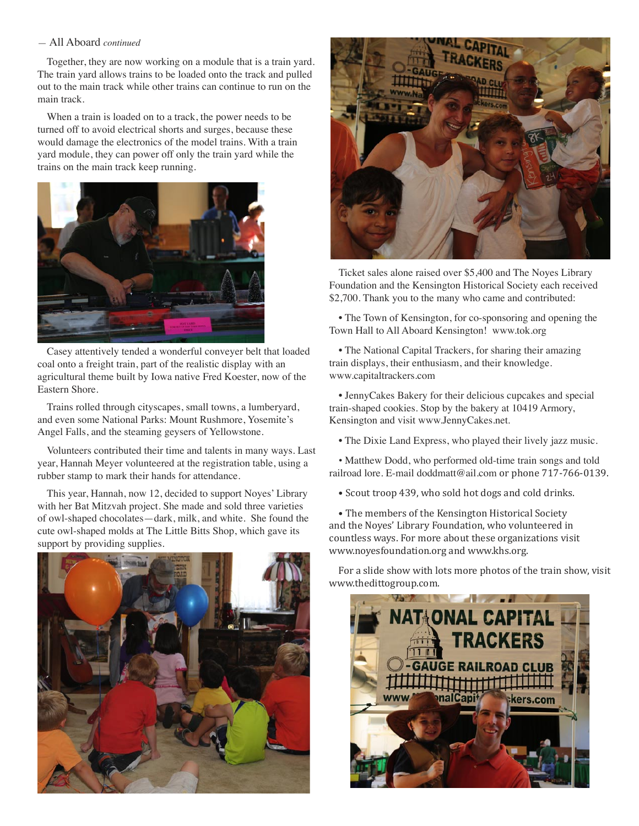#### — All Aboard *continued*

Together, they are now working on a module that is a train yard. The train yard allows trains to be loaded onto the track and pulled out to the main track while other trains can continue to run on the main track.

When a train is loaded on to a track, the power needs to be turned off to avoid electrical shorts and surges, because these would damage the electronics of the model trains. With a train yard module, they can power off only the train yard while the trains on the main track keep running.



Casey attentively tended a wonderful conveyer belt that loaded coal onto a freight train, part of the realistic display with an agricultural theme built by Iowa native Fred Koester, now of the Eastern Shore.

Trains rolled through cityscapes, small towns, a lumberyard, and even some National Parks: Mount Rushmore, Yosemite's Angel Falls, and the steaming geysers of Yellowstone.

Volunteers contributed their time and talents in many ways. Last year, Hannah Meyer volunteered at the registration table, using a rubber stamp to mark their hands for attendance.

This year, Hannah, now 12, decided to support Noyes' Library with her Bat Mitzvah project. She made and sold three varieties of owl-shaped chocolates—dark, milk, and white. She found the cute owl-shaped molds at The Little Bitts Shop, which gave its support by providing supplies.





Ticket sales alone raised over \$5,400 and The Noyes Library Foundation and the Kensington Historical Society each received \$2,700. Thank you to the many who came and contributed:

• The Town of Kensington, for co-sponsoring and opening the Town Hall to All Aboard Kensington! www.tok.org

• The National Capital Trackers, for sharing their amazing train displays, their enthusiasm, and their knowledge. www.capitaltrackers.com

• JennyCakes Bakery for their delicious cupcakes and special train-shaped cookies. Stop by the bakery at 10419 Armory, Kensington and visit www.JennyCakes.net.

• The Dixie Land Express, who played their lively jazz music.

• Matthew Dodd, who performed old-time train songs and told railroad lore. E-mail doddmatt@ail.com or phone 717-766-0139.

• Scout troop 439, who sold hot dogs and cold drinks.

• The members of the Kensington Historical Society and the Noyes' Library Foundation, who volunteered in countless ways. For more about these organizations visit www.noyesfoundation.org and www.khs.org.

For a slide show with lots more photos of the train show, visit www.thedittogroup.com.